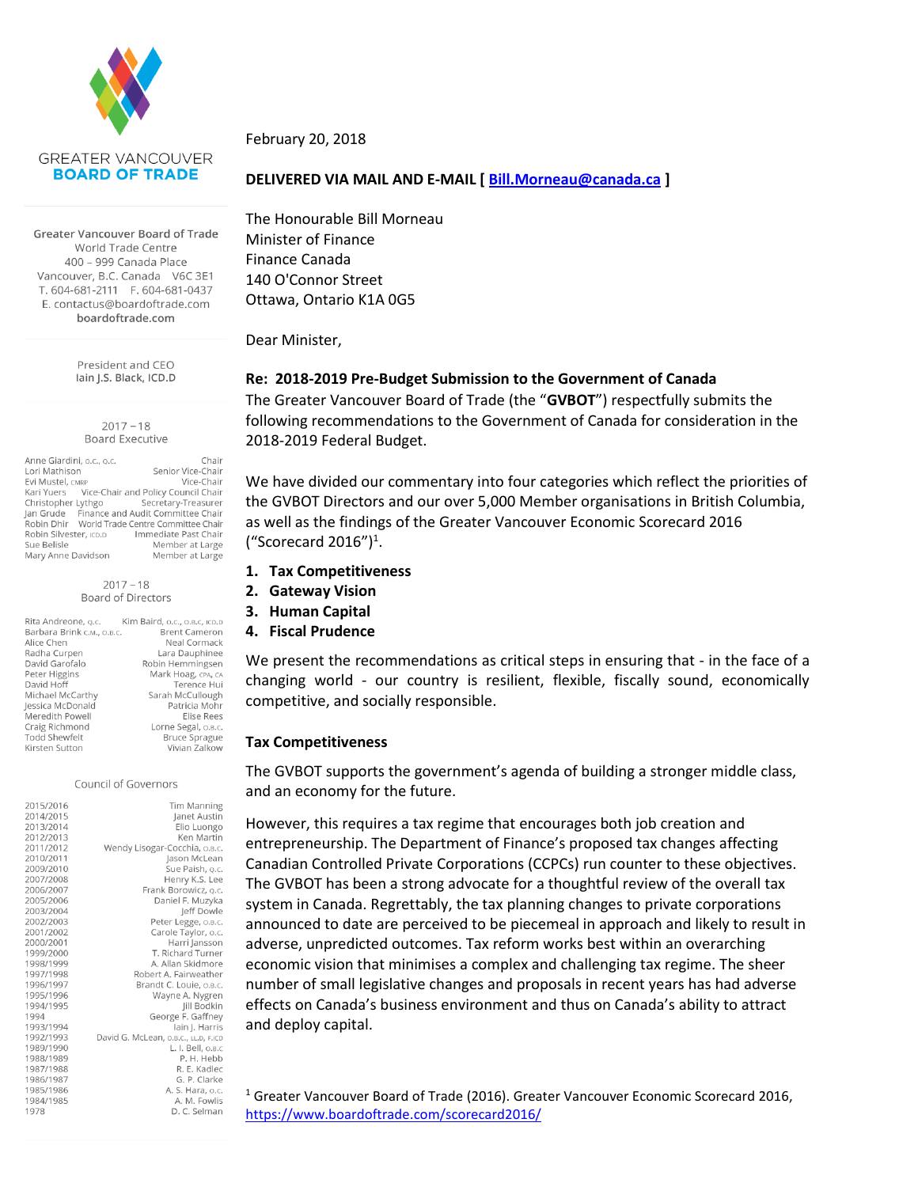

Greater Vancouver Board of Trade World Trade Centre 400 - 999 Canada Place Vancouver, B.C. Canada V6C 3E1 T. 604-681-2111 F. 604-681-0437 E. contactus@boardoftrade.com boardoftrade.com

> President and CEO Iain J.S. Black, ICD.D

#### $2017 - 18$ **Board Executive**

Anne Giardini, o.c., o.c. Chair Lori Mathison Senior Vice-Chair Evi Mustel, CMRP Vice-Chair Vice-Chair and Policy Council Chair Kari Yuers Christopher Lythgo Secretary-Treasurer Jan Grude Finance and Audit Committee Chair<br>Robin Dhir World Trade Centre Committee Chair Robin Silvester, ICD.D Immediate Past Chair Sue Belisle Member at Large Mary Anne Davidson Member at Large

#### $2017 - 18$ Board of Directors

| Rita Andreone, o.c.        | Kim Baird, o.c., o.B.c, ICD.D |
|----------------------------|-------------------------------|
| Barbara Brink c.m., o.B.c. | <b>Brent Cameron</b>          |
| Alice Chen                 | Neal Cormack                  |
| Radha Curpen               | Lara Dauphinee                |
| David Garofalo             | Robin Hemmingsen              |
| Peter Higgins              | Mark Hoag, CPA, CA            |
| David Hoff                 | Terence Hui                   |
| Michael McCarthy           | Sarah McCullough              |
| Jessica McDonald           | Patricia Mohr                 |
| Meredith Powell            | Elise Rees                    |
| Craig Richmond             | Lorne Segal, о.в.с.           |
| <b>Todd Shewfelt</b>       | <b>Bruce Sprague</b>          |
| Kirsten Sutton             | Vivian Zalkow                 |

Council of Governors

| Tim Manning                          | 2015/2016 |
|--------------------------------------|-----------|
| Janet Austin                         | 2014/2015 |
| Elio Luongo                          | 2013/2014 |
| Ken Martin                           | 2012/2013 |
| Wendy Lisogar-Cocchia, o.B.c.        | 2011/2012 |
| Jason McLean                         | 2010/2011 |
| Sue Paish, o.c.                      | 2009/2010 |
| Henry K.S. Lee                       | 2007/2008 |
| Frank Borowicz, o.c.                 | 2006/2007 |
| Daniel F. Muzyka                     | 2005/2006 |
| leff Dowle                           | 2003/2004 |
| Peter Legge, O.B.C.                  | 2002/2003 |
| Carole Taylor, o.c.                  | 2001/2002 |
| Harri Jansson                        | 2000/2001 |
| T. Richard Turner                    | 1999/2000 |
| A. Allan Skidmore                    | 1998/1999 |
| Robert A. Fairweather                | 1997/1998 |
| Brandt C. Louie, o.B.C.              | 1996/1997 |
| Wayne A. Nygren                      | 1995/1996 |
| Jill Bodkin                          | 1994/1995 |
| George F. Gaffney                    | 1994      |
| lain J. Harris                       | 1993/1994 |
| David G. McLean, o.B.C., LL.D, F.ICD | 1992/1993 |
| L. I. Bell, O.B.C                    | 1989/1990 |
| P. H. Hebb                           | 1988/1989 |
| R. E. Kadlec                         | 1987/1988 |
| G. P. Clarke                         | 1986/1987 |
| A. S. Hara, o.c.                     | 1985/1986 |
| A. M. Fowlis                         | 1984/1985 |
| D. C. Selman                         | 1978      |
|                                      |           |

February 20, 2018

# **DELIVERED VIA MAIL AND E-MAIL [ [Bill.Morneau@canada.ca](mailto:Bill.Morneau@canada.ca) ]**

The Honourable Bill Morneau Minister of Finance Finance Canada 140 O'Connor Street Ottawa, Ontario K1A 0G5

Dear Minister,

# **Re: 2018-2019 Pre-Budget Submission to the Government of Canada**

The Greater Vancouver Board of Trade (the "**GVBOT**") respectfully submits the following recommendations to the Government of Canada for consideration in the 2018-2019 Federal Budget.

We have divided our commentary into four categories which reflect the priorities of the GVBOT Directors and our over 5,000 Member organisations in British Columbia, as well as the findings of the Greater Vancouver Economic Scorecard 2016 ("Scorecard 2016") $^1$ .

- **1. Tax Competitiveness**
- **2. Gateway Vision**
- **3. Human Capital**
- **4. Fiscal Prudence**

We present the recommendations as critical steps in ensuring that - in the face of a changing world - our country is resilient, flexible, fiscally sound, economically competitive, and socially responsible.

# **Tax Competitiveness**

The GVBOT supports the government's agenda of building a stronger middle class, and an economy for the future.

However, this requires a tax regime that encourages both job creation and entrepreneurship. The Department of Finance's proposed tax changes affecting Canadian Controlled Private Corporations (CCPCs) run counter to these objectives. The GVBOT has been a strong advocate for a thoughtful review of the overall tax system in Canada. Regrettably, the tax planning changes to private corporations announced to date are perceived to be piecemeal in approach and likely to result in adverse, unpredicted outcomes. Tax reform works best within an overarching economic vision that minimises a complex and challenging tax regime. The sheer number of small legislative changes and proposals in recent years has had adverse effects on Canada's business environment and thus on Canada's ability to attract and deploy capital.

<sup>1</sup> Greater Vancouver Board of Trade (2016). Greater Vancouver Economic Scorecard 2016, <https://www.boardoftrade.com/scorecard2016/>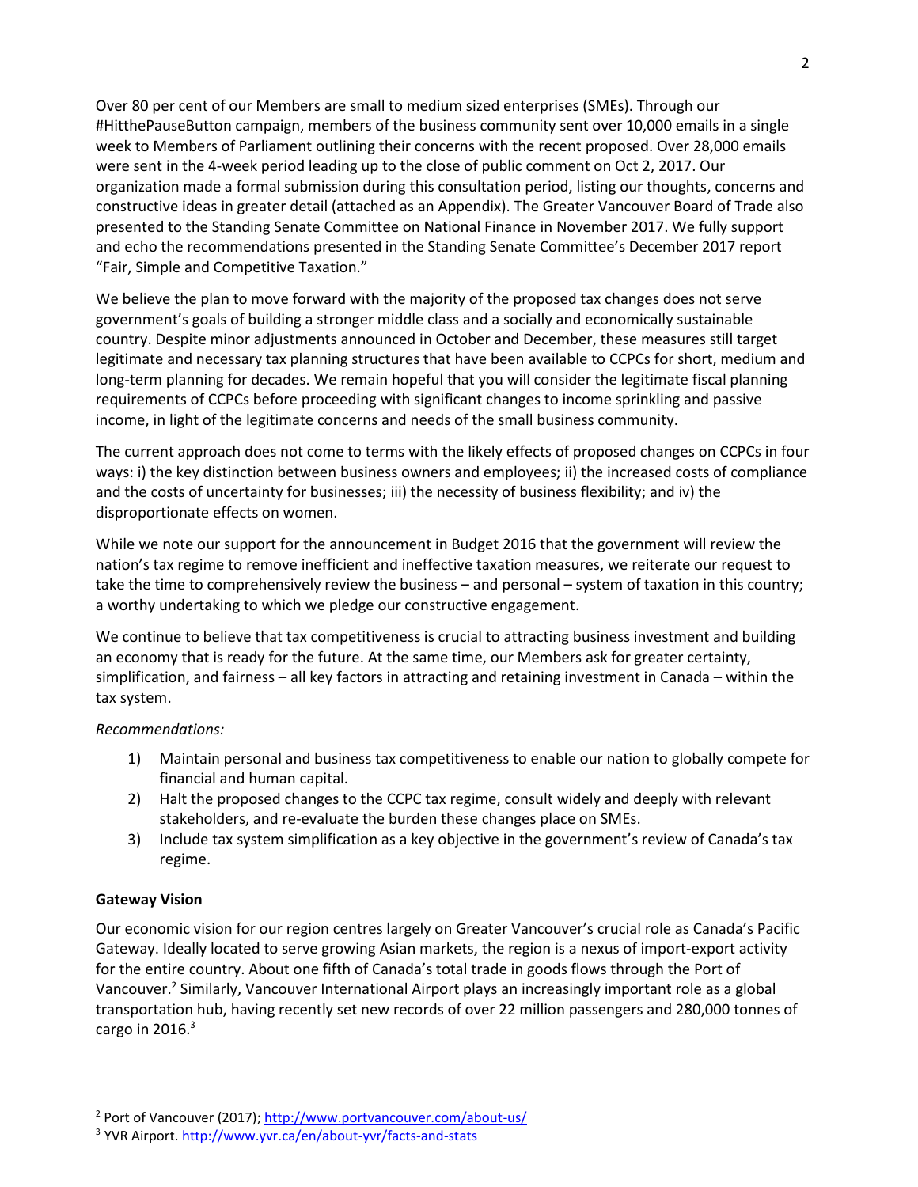Over 80 per cent of our Members are small to medium sized enterprises (SMEs). Through our #HitthePauseButton campaign, members of the business community sent over 10,000 emails in a single week to Members of Parliament outlining their concerns with the recent proposed. Over 28,000 emails were sent in the 4-week period leading up to the close of public comment on Oct 2, 2017. Our organization made a formal submission during this consultation period, listing our thoughts, concerns and constructive ideas in greater detail (attached as an Appendix). The Greater Vancouver Board of Trade also presented to the Standing Senate Committee on National Finance in November 2017. We fully support and echo the recommendations presented in the Standing Senate Committee's December 2017 report "Fair, Simple and Competitive Taxation."

We believe the plan to move forward with the majority of the proposed tax changes does not serve government's goals of building a stronger middle class and a socially and economically sustainable country. Despite minor adjustments announced in October and December, these measures still target legitimate and necessary tax planning structures that have been available to CCPCs for short, medium and long-term planning for decades. We remain hopeful that you will consider the legitimate fiscal planning requirements of CCPCs before proceeding with significant changes to income sprinkling and passive income, in light of the legitimate concerns and needs of the small business community.

The current approach does not come to terms with the likely effects of proposed changes on CCPCs in four ways: i) the key distinction between business owners and employees; ii) the increased costs of compliance and the costs of uncertainty for businesses; iii) the necessity of business flexibility; and iv) the disproportionate effects on women.

While we note our support for the announcement in Budget 2016 that the government will review the nation's tax regime to remove inefficient and ineffective taxation measures, we reiterate our request to take the time to comprehensively review the business – and personal – system of taxation in this country; a worthy undertaking to which we pledge our constructive engagement.

We continue to believe that tax competitiveness is crucial to attracting business investment and building an economy that is ready for the future. At the same time, our Members ask for greater certainty, simplification, and fairness – all key factors in attracting and retaining investment in Canada – within the tax system.

## *Recommendations:*

- 1) Maintain personal and business tax competitiveness to enable our nation to globally compete for financial and human capital.
- 2) Halt the proposed changes to the CCPC tax regime, consult widely and deeply with relevant stakeholders, and re-evaluate the burden these changes place on SMEs.
- 3) Include tax system simplification as a key objective in the government's review of Canada's tax regime.

## **Gateway Vision**

Our economic vision for our region centres largely on Greater Vancouver's crucial role as Canada's Pacific Gateway. Ideally located to serve growing Asian markets, the region is a nexus of import-export activity for the entire country. About one fifth of Canada's total trade in goods flows through the Port of Vancouver.<sup>2</sup> Similarly, Vancouver International Airport plays an increasingly important role as a global transportation hub, having recently set new records of over 22 million passengers and 280,000 tonnes of cargo in 2016. $^3$ 

<sup>&</sup>lt;sup>2</sup> Port of Vancouver (2017)[; http://www.portvancouver.com/about-us/](http://www.portvancouver.com/about-us/)

<sup>&</sup>lt;sup>3</sup> YVR Airport[. http://www.yvr.ca/en/about-yvr/facts-and-stats](http://www.yvr.ca/en/about-yvr/facts-and-stats)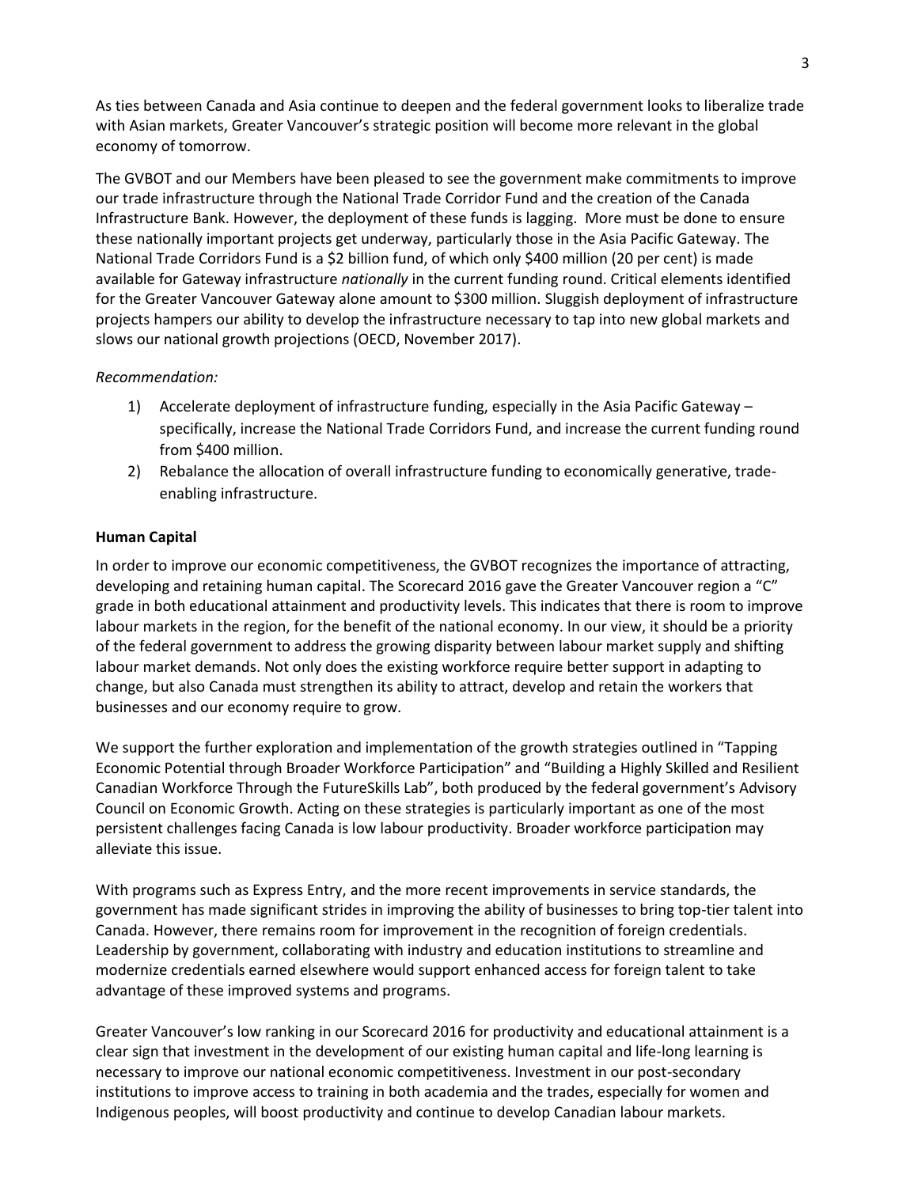As ties between Canada and Asia continue to deepen and the federal government looks to liberalize trade with Asian markets, Greater Vancouver's strategic position will become more relevant in the global economy of tomorrow.

The GVBOT and our Members have been pleased to see the government make commitments to improve our trade infrastructure through the National Trade Corridor Fund and the creation of the Canada Infrastructure Bank. However, the deployment of these funds is lagging. More must be done to ensure these nationally important projects get underway, particularly those in the Asia Pacific Gateway. The National Trade Corridors Fund is a \$2 billion fund, of which only \$400 million (20 per cent) is made available for Gateway infrastructure *nationally* in the current funding round. Critical elements identified for the Greater Vancouver Gateway alone amount to \$300 million. Sluggish deployment of infrastructure projects hampers our ability to develop the infrastructure necessary to tap into new global markets and slows our national growth projections (OECD, November 2017).

#### *Recommendation:*

- 1) Accelerate deployment of infrastructure funding, especially in the Asia Pacific Gateway specifically, increase the National Trade Corridors Fund, and increase the current funding round from \$400 million.
- 2) Rebalance the allocation of overall infrastructure funding to economically generative, tradeenabling infrastructure.

#### **Human Capital**

In order to improve our economic competitiveness, the GVBOT recognizes the importance of attracting, developing and retaining human capital. The Scorecard 2016 gave the Greater Vancouver region a "C" grade in both educational attainment and productivity levels. This indicates that there is room to improve labour markets in the region, for the benefit of the national economy. In our view, it should be a priority of the federal government to address the growing disparity between labour market supply and shifting labour market demands. Not only does the existing workforce require better support in adapting to change, but also Canada must strengthen its ability to attract, develop and retain the workers that businesses and our economy require to grow.

We support the further exploration and implementation of the growth strategies outlined in "Tapping Economic Potential through Broader Workforce Participation" and "Building a Highly Skilled and Resilient Canadian Workforce Through the FutureSkills Lab", both produced by the federal government's Advisory Council on Economic Growth. Acting on these strategies is particularly important as one of the most persistent challenges facing Canada is low labour productivity. Broader workforce participation may alleviate this issue.

With programs such as Express Entry, and the more recent improvements in service standards, the government has made significant strides in improving the ability of businesses to bring top-tier talent into Canada. However, there remains room for improvement in the recognition of foreign credentials. Leadership by government, collaborating with industry and education institutions to streamline and modernize credentials earned elsewhere would support enhanced access for foreign talent to take advantage of these improved systems and programs.

Greater Vancouver's low ranking in our Scorecard 2016 for productivity and educational attainment is a clear sign that investment in the development of our existing human capital and life-long learning is necessary to improve our national economic competitiveness. Investment in our post-secondary institutions to improve access to training in both academia and the trades, especially for women and Indigenous peoples, will boost productivity and continue to develop Canadian labour markets.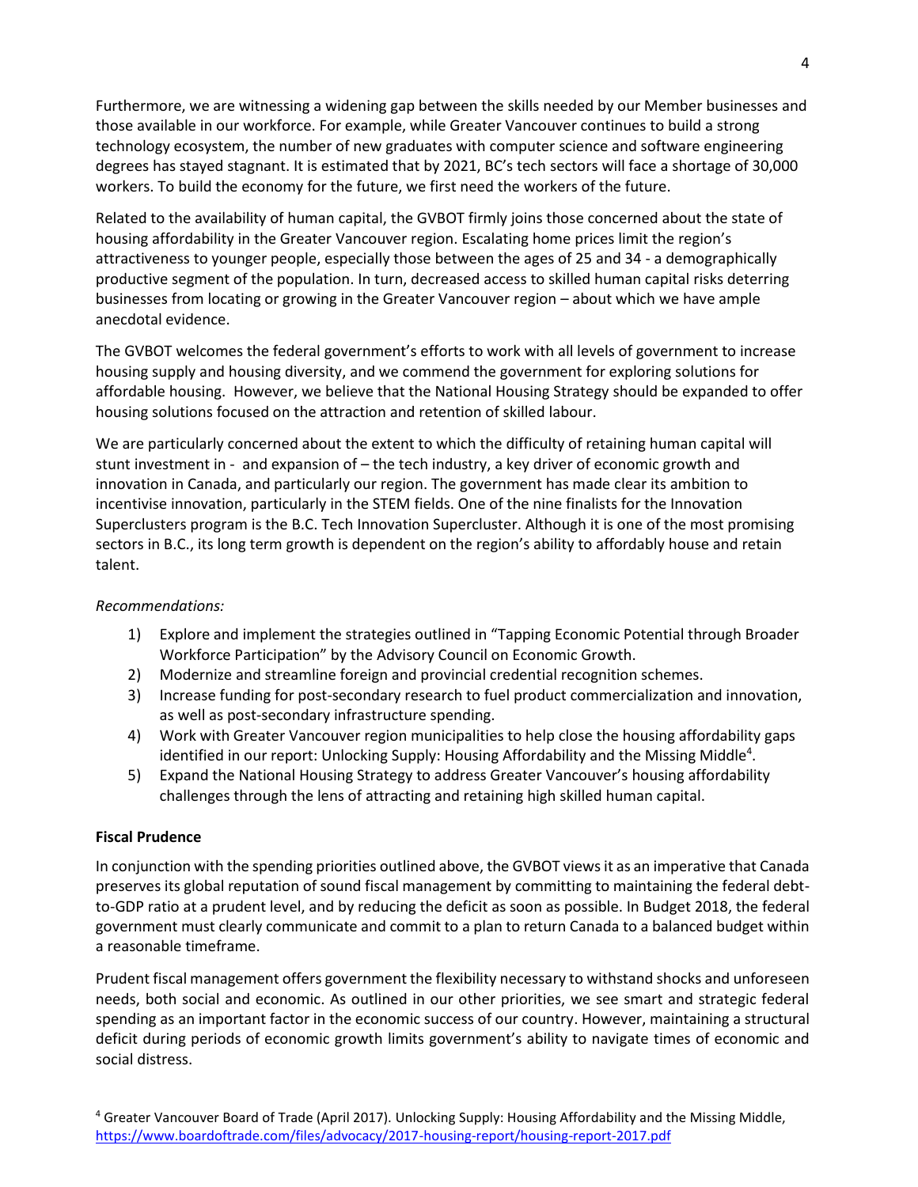Furthermore, we are witnessing a widening gap between the skills needed by our Member businesses and those available in our workforce. For example, while Greater Vancouver continues to build a strong technology ecosystem, the number of new graduates with computer science and software engineering degrees has stayed stagnant. It is estimated that by 2021, BC's tech sectors will face a shortage of 30,000 workers. To build the economy for the future, we first need the workers of the future.

Related to the availability of human capital, the GVBOT firmly joins those concerned about the state of housing affordability in the Greater Vancouver region. Escalating home prices limit the region's attractiveness to younger people, especially those between the ages of 25 and 34 - a demographically productive segment of the population. In turn, decreased access to skilled human capital risks deterring businesses from locating or growing in the Greater Vancouver region – about which we have ample anecdotal evidence.

The GVBOT welcomes the federal government's efforts to work with all levels of government to increase housing supply and housing diversity, and we commend the government for exploring solutions for affordable housing. However, we believe that the National Housing Strategy should be expanded to offer housing solutions focused on the attraction and retention of skilled labour.

We are particularly concerned about the extent to which the difficulty of retaining human capital will stunt investment in - and expansion of – the tech industry, a key driver of economic growth and innovation in Canada, and particularly our region. The government has made clear its ambition to incentivise innovation, particularly in the STEM fields. One of the nine finalists for the Innovation Superclusters program is the B.C. Tech Innovation Supercluster. Although it is one of the most promising sectors in B.C., its long term growth is dependent on the region's ability to affordably house and retain talent.

## *Recommendations:*

- 1) Explore and implement the strategies outlined in "Tapping Economic Potential through Broader Workforce Participation" by the Advisory Council on Economic Growth.
- 2) Modernize and streamline foreign and provincial credential recognition schemes.
- 3) Increase funding for post-secondary research to fuel product commercialization and innovation, as well as post-secondary infrastructure spending.
- 4) Work with Greater Vancouver region municipalities to help close the housing affordability gaps identified in our report: Unlocking Supply: Housing Affordability and the Missing Middle<sup>4</sup>.
- 5) Expand the National Housing Strategy to address Greater Vancouver's housing affordability challenges through the lens of attracting and retaining high skilled human capital.

## **Fiscal Prudence**

In conjunction with the spending priorities outlined above, the GVBOT views it as an imperative that Canada preserves its global reputation of sound fiscal management by committing to maintaining the federal debtto-GDP ratio at a prudent level, and by reducing the deficit as soon as possible. In Budget 2018, the federal government must clearly communicate and commit to a plan to return Canada to a balanced budget within a reasonable timeframe.

Prudent fiscal management offers government the flexibility necessary to withstand shocks and unforeseen needs, both social and economic. As outlined in our other priorities, we see smart and strategic federal spending as an important factor in the economic success of our country. However, maintaining a structural deficit during periods of economic growth limits government's ability to navigate times of economic and social distress.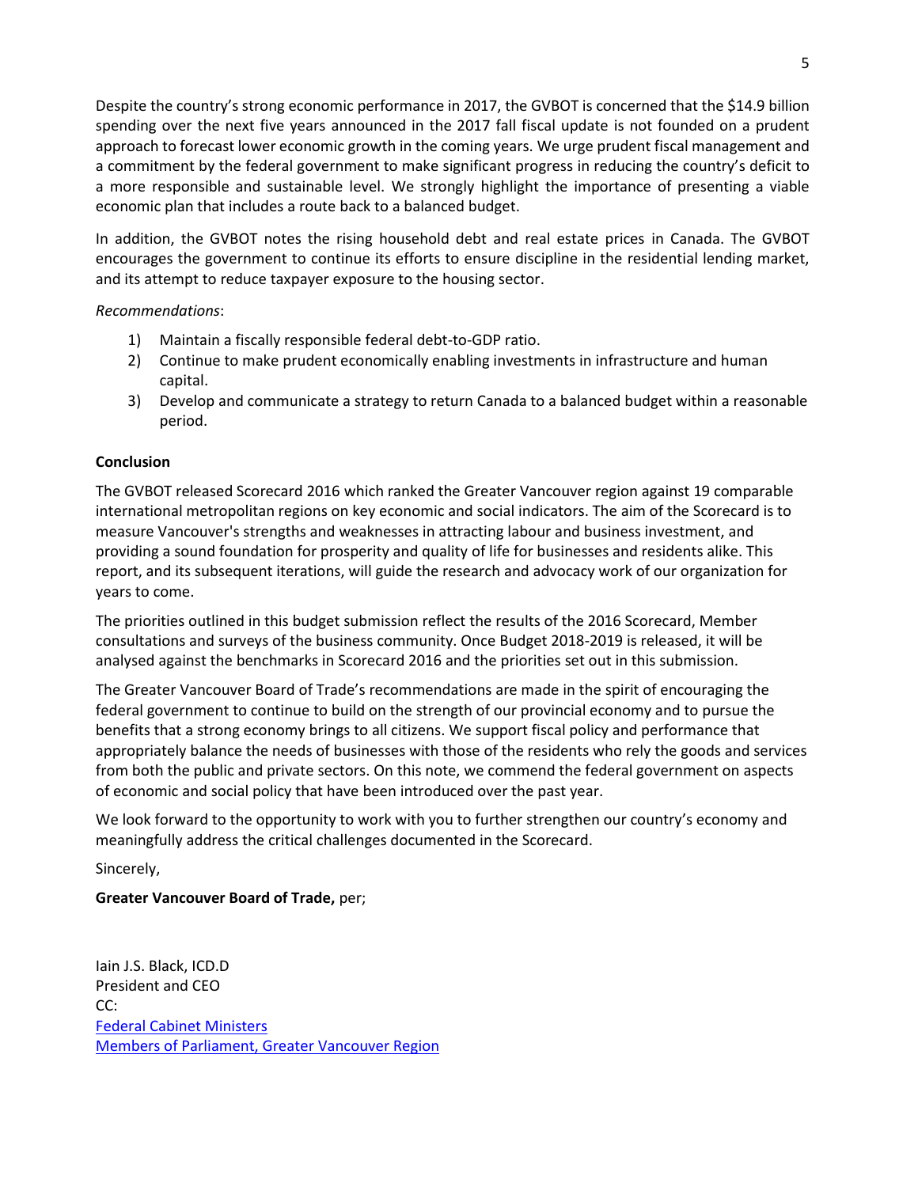Despite the country's strong economic performance in 2017, the GVBOT is concerned that the \$14.9 billion spending over the next five years announced in the 2017 fall fiscal update is not founded on a prudent approach to forecast lower economic growth in the coming years. We urge prudent fiscal management and a commitment by the federal government to make significant progress in reducing the country's deficit to a more responsible and sustainable level. We strongly highlight the importance of presenting a viable economic plan that includes a route back to a balanced budget.

In addition, the GVBOT notes the rising household debt and real estate prices in Canada. The GVBOT encourages the government to continue its efforts to ensure discipline in the residential lending market, and its attempt to reduce taxpayer exposure to the housing sector.

## *Recommendations*:

- 1) Maintain a fiscally responsible federal debt-to-GDP ratio.
- 2) Continue to make prudent economically enabling investments in infrastructure and human capital.
- 3) Develop and communicate a strategy to return Canada to a balanced budget within a reasonable period.

# **Conclusion**

The GVBOT released Scorecard 2016 which ranked the Greater Vancouver region against 19 comparable international metropolitan regions on key economic and social indicators. The aim of the Scorecard is to measure Vancouver's strengths and weaknesses in attracting labour and business investment, and providing a sound foundation for prosperity and quality of life for businesses and residents alike. This report, and its subsequent iterations, will guide the research and advocacy work of our organization for years to come.

The priorities outlined in this budget submission reflect the results of the 2016 Scorecard, Member consultations and surveys of the business community. Once Budget 2018-2019 is released, it will be analysed against the benchmarks in Scorecard 2016 and the priorities set out in this submission.

The Greater Vancouver Board of Trade's recommendations are made in the spirit of encouraging the federal government to continue to build on the strength of our provincial economy and to pursue the benefits that a strong economy brings to all citizens. We support fiscal policy and performance that appropriately balance the needs of businesses with those of the residents who rely the goods and services from both the public and private sectors. On this note, we commend the federal government on aspects of economic and social policy that have been introduced over the past year.

We look forward to the opportunity to work with you to further strengthen our country's economy and meaningfully address the critical challenges documented in the Scorecard.

Sincerely,

**Greater Vancouver Board of Trade,** per;

Iain J.S. Black, ICD.D President and CEO CC: [Federal Cabinet Ministers](http://www.parl.gc.ca/parliamentarians/en/ministries) [Members of Parliament, Greater Vancouver Region](http://www.parl.gc.ca/Parliamentarians/en/constituencies/findmp?textCriteria=British%20Columbia)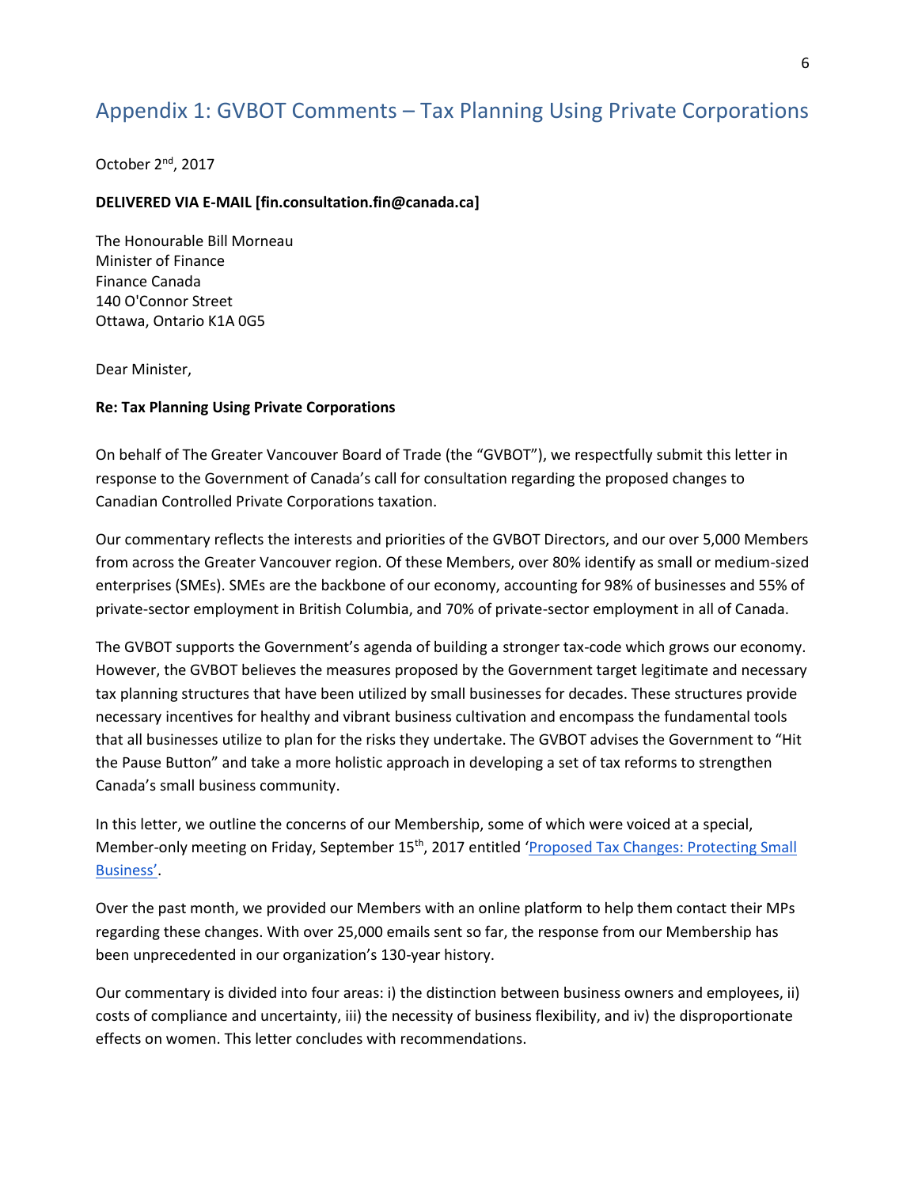# Appendix 1: GVBOT Comments – Tax Planning Using Private Corporations

October 2nd, 2017

#### **DELIVERED VIA E-MAIL [fin.consultation.fin@canada.ca]**

The Honourable Bill Morneau Minister of Finance Finance Canada 140 O'Connor Street Ottawa, Ontario K1A 0G5

Dear Minister,

#### **Re: Tax Planning Using Private Corporations**

On behalf of The Greater Vancouver Board of Trade (the "GVBOT"), we respectfully submit this letter in response to the Government of Canada's call for consultation regarding the proposed changes to Canadian Controlled Private Corporations taxation.

Our commentary reflects the interests and priorities of the GVBOT Directors, and our over 5,000 Members from across the Greater Vancouver region. Of these Members, over 80% identify as small or medium-sized enterprises (SMEs). SMEs are the backbone of our economy, accounting for 98% of businesses and 55% of private-sector employment in British Columbia, and 70% of private-sector employment in all of Canada.

The GVBOT supports the Government's agenda of building a stronger tax-code which grows our economy. However, the GVBOT believes the measures proposed by the Government target legitimate and necessary tax planning structures that have been utilized by small businesses for decades. These structures provide necessary incentives for healthy and vibrant business cultivation and encompass the fundamental tools that all businesses utilize to plan for the risks they undertake. The GVBOT advises the Government to "Hit the Pause Button" and take a more holistic approach in developing a set of tax reforms to strengthen Canada's small business community.

In this letter, we outline the concerns of our Membership, some of which were voiced at a special, Member-only meeting on Friday, September 15<sup>th</sup>, 2017 entitled 'Proposed Tax Changes: Protecting Small [Business'](https://www.boardoftrade.com/events/individual-events/1140-6216).

Over the past month, we provided our Members with an online platform to help them contact their MPs regarding these changes. With over 25,000 emails sent so far, the response from our Membership has been unprecedented in our organization's 130-year history.

Our commentary is divided into four areas: i) the distinction between business owners and employees, ii) costs of compliance and uncertainty, iii) the necessity of business flexibility, and iv) the disproportionate effects on women. This letter concludes with recommendations.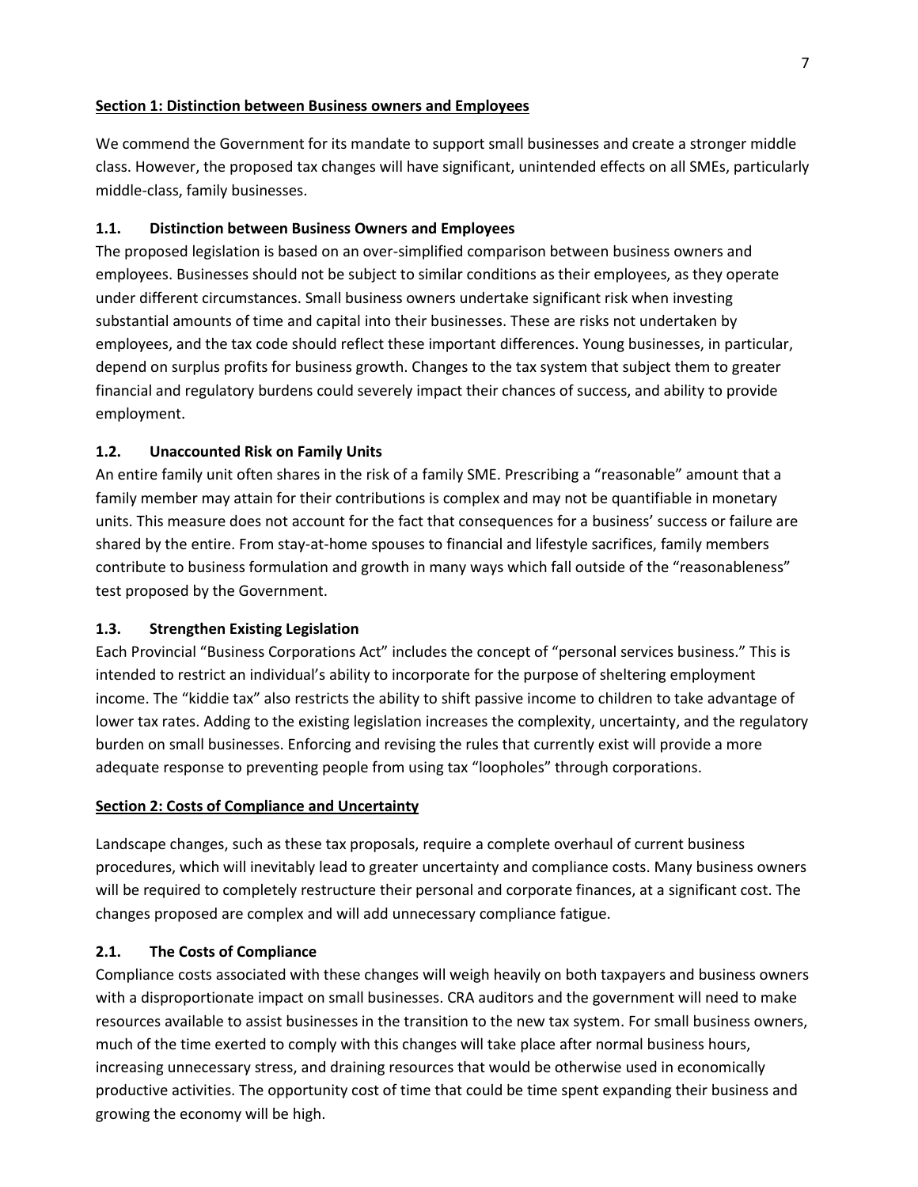#### **Section 1: Distinction between Business owners and Employees**

We commend the Government for its mandate to support small businesses and create a stronger middle class. However, the proposed tax changes will have significant, unintended effects on all SMEs, particularly middle-class, family businesses.

## **1.1. Distinction between Business Owners and Employees**

The proposed legislation is based on an over-simplified comparison between business owners and employees. Businesses should not be subject to similar conditions as their employees, as they operate under different circumstances. Small business owners undertake significant risk when investing substantial amounts of time and capital into their businesses. These are risks not undertaken by employees, and the tax code should reflect these important differences. Young businesses, in particular, depend on surplus profits for business growth. Changes to the tax system that subject them to greater financial and regulatory burdens could severely impact their chances of success, and ability to provide employment.

## **1.2. Unaccounted Risk on Family Units**

An entire family unit often shares in the risk of a family SME. Prescribing a "reasonable" amount that a family member may attain for their contributions is complex and may not be quantifiable in monetary units. This measure does not account for the fact that consequences for a business' success or failure are shared by the entire. From stay-at-home spouses to financial and lifestyle sacrifices, family members contribute to business formulation and growth in many ways which fall outside of the "reasonableness" test proposed by the Government.

## **1.3. Strengthen Existing Legislation**

Each Provincial "Business Corporations Act" includes the concept of "personal services business." This is intended to restrict an individual's ability to incorporate for the purpose of sheltering employment income. The "kiddie tax" also restricts the ability to shift passive income to children to take advantage of lower tax rates. Adding to the existing legislation increases the complexity, uncertainty, and the regulatory burden on small businesses. Enforcing and revising the rules that currently exist will provide a more adequate response to preventing people from using tax "loopholes" through corporations.

## **Section 2: Costs of Compliance and Uncertainty**

Landscape changes, such as these tax proposals, require a complete overhaul of current business procedures, which will inevitably lead to greater uncertainty and compliance costs. Many business owners will be required to completely restructure their personal and corporate finances, at a significant cost. The changes proposed are complex and will add unnecessary compliance fatigue.

## **2.1. The Costs of Compliance**

Compliance costs associated with these changes will weigh heavily on both taxpayers and business owners with a disproportionate impact on small businesses. CRA auditors and the government will need to make resources available to assist businesses in the transition to the new tax system. For small business owners, much of the time exerted to comply with this changes will take place after normal business hours, increasing unnecessary stress, and draining resources that would be otherwise used in economically productive activities. The opportunity cost of time that could be time spent expanding their business and growing the economy will be high.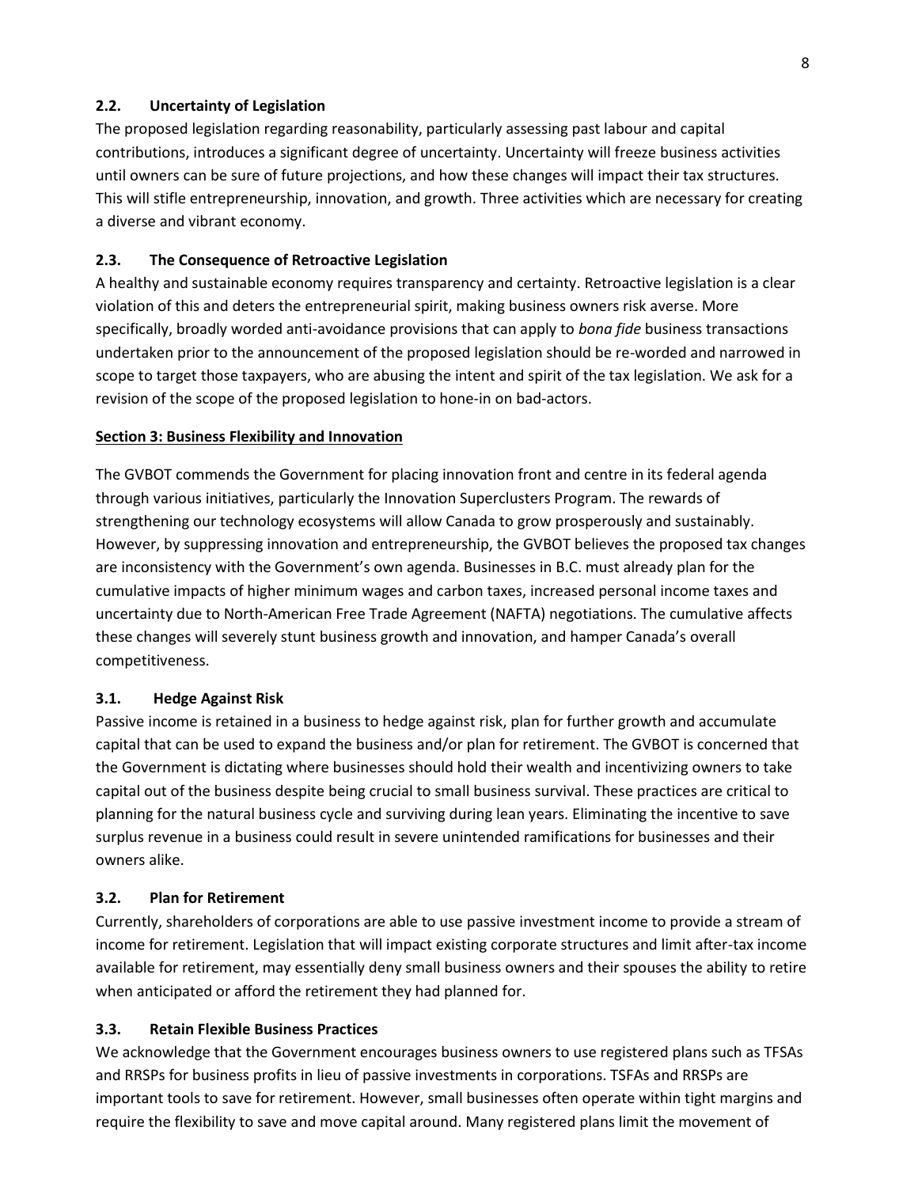#### **2.2. Uncertainty of Legislation**

The proposed legislation regarding reasonability, particularly assessing past labour and capital contributions, introduces a significant degree of uncertainty. Uncertainty will freeze business activities until owners can be sure of future projections, and how these changes will impact their tax structures. This will stifle entrepreneurship, innovation, and growth. Three activities which are necessary for creating a diverse and vibrant economy.

#### **2.3. The Consequence of Retroactive Legislation**

A healthy and sustainable economy requires transparency and certainty. Retroactive legislation is a clear violation of this and deters the entrepreneurial spirit, making business owners risk averse. More specifically, broadly worded anti-avoidance provisions that can apply to *bona fide* business transactions undertaken prior to the announcement of the proposed legislation should be re-worded and narrowed in scope to target those taxpayers, who are abusing the intent and spirit of the tax legislation. We ask for a revision of the scope of the proposed legislation to hone-in on bad-actors.

#### **Section 3: Business Flexibility and Innovation**

The GVBOT commends the Government for placing innovation front and centre in its federal agenda through various initiatives, particularly the Innovation Superclusters Program. The rewards of strengthening our technology ecosystems will allow Canada to grow prosperously and sustainably. However, by suppressing innovation and entrepreneurship, the GVBOT believes the proposed tax changes are inconsistency with the Government's own agenda. Businesses in B.C. must already plan for the cumulative impacts of higher minimum wages and carbon taxes, increased personal income taxes and uncertainty due to North-American Free Trade Agreement (NAFTA) negotiations. The cumulative affects these changes will severely stunt business growth and innovation, and hamper Canada's overall competitiveness.

#### **3.1. Hedge Against Risk**

Passive income is retained in a business to hedge against risk, plan for further growth and accumulate capital that can be used to expand the business and/or plan for retirement. The GVBOT is concerned that the Government is dictating where businesses should hold their wealth and incentivizing owners to take capital out of the business despite being crucial to small business survival. These practices are critical to planning for the natural business cycle and surviving during lean years. Eliminating the incentive to save surplus revenue in a business could result in severe unintended ramifications for businesses and their owners alike.

#### **3.2. Plan for Retirement**

Currently, shareholders of corporations are able to use passive investment income to provide a stream of income for retirement. Legislation that will impact existing corporate structures and limit after-tax income available for retirement, may essentially deny small business owners and their spouses the ability to retire when anticipated or afford the retirement they had planned for.

#### **3.3. Retain Flexible Business Practices**

We acknowledge that the Government encourages business owners to use registered plans such as TFSAs and RRSPs for business profits in lieu of passive investments in corporations. TSFAs and RRSPs are important tools to save for retirement. However, small businesses often operate within tight margins and require the flexibility to save and move capital around. Many registered plans limit the movement of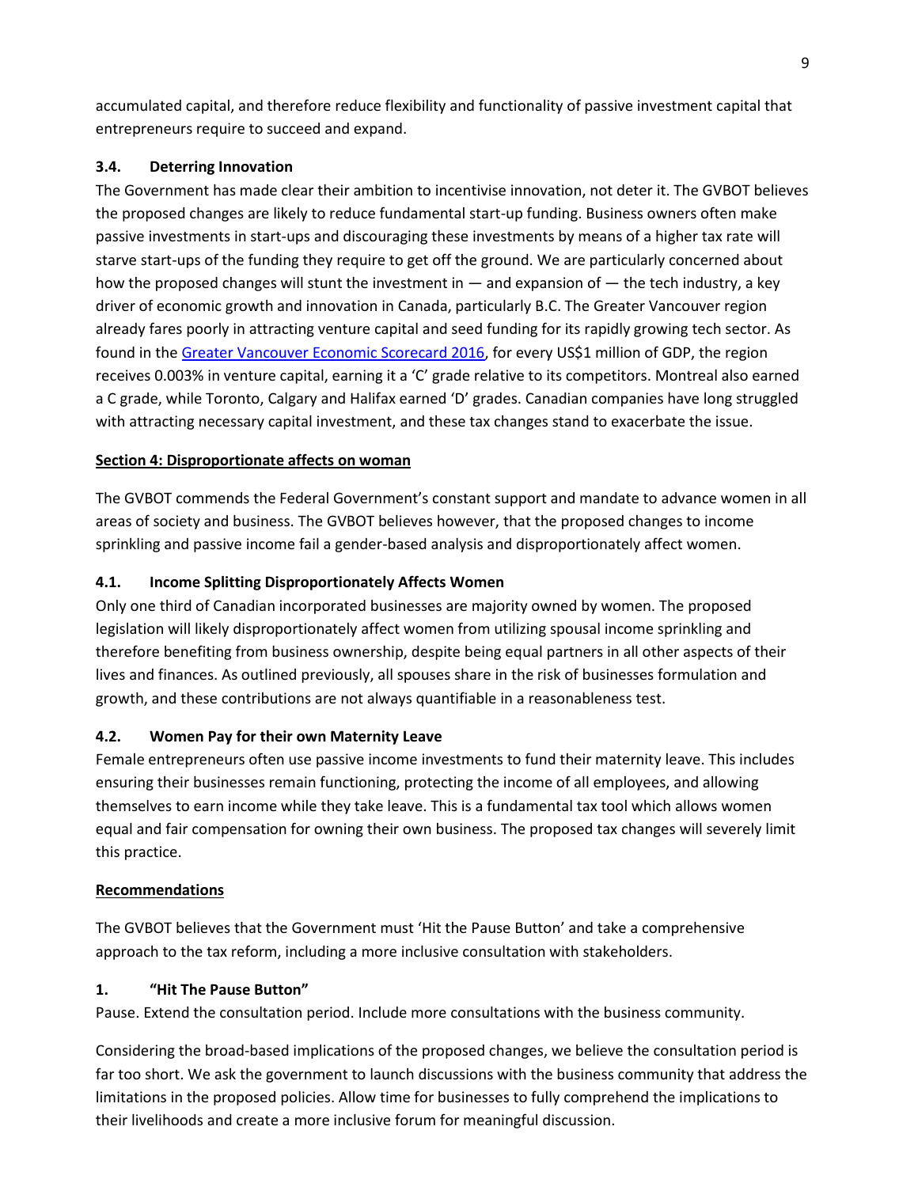accumulated capital, and therefore reduce flexibility and functionality of passive investment capital that entrepreneurs require to succeed and expand.

# **3.4. Deterring Innovation**

The Government has made clear their ambition to incentivise innovation, not deter it. The GVBOT believes the proposed changes are likely to reduce fundamental start-up funding. Business owners often make passive investments in start-ups and discouraging these investments by means of a higher tax rate will starve start-ups of the funding they require to get off the ground. We are particularly concerned about how the proposed changes will stunt the investment in — and expansion of — the tech industry, a key driver of economic growth and innovation in Canada, particularly B.C. The Greater Vancouver region already fares poorly in attracting venture capital and seed funding for its rapidly growing tech sector. As found in the [Greater Vancouver Economic Scorecard 2016,](https://www.boardoftrade.com/scorecard2016/files/Full%20Report%20-%20Greater%20Vancouver%20Economic%20Scorecard%202016.pdf) for every US\$1 million of GDP, the region receives 0.003% in venture capital, earning it a 'C' grade relative to its competitors. Montreal also earned a C grade, while Toronto, Calgary and Halifax earned 'D' grades. Canadian companies have long struggled with attracting necessary capital investment, and these tax changes stand to exacerbate the issue.

# **Section 4: Disproportionate affects on woman**

The GVBOT commends the Federal Government's constant support and mandate to advance women in all areas of society and business. The GVBOT believes however, that the proposed changes to income sprinkling and passive income fail a gender-based analysis and disproportionately affect women.

# **4.1. Income Splitting Disproportionately Affects Women**

Only one third of Canadian incorporated businesses are majority owned by women. The proposed legislation will likely disproportionately affect women from utilizing spousal income sprinkling and therefore benefiting from business ownership, despite being equal partners in all other aspects of their lives and finances. As outlined previously, all spouses share in the risk of businesses formulation and growth, and these contributions are not always quantifiable in a reasonableness test.

## **4.2. Women Pay for their own Maternity Leave**

Female entrepreneurs often use passive income investments to fund their maternity leave. This includes ensuring their businesses remain functioning, protecting the income of all employees, and allowing themselves to earn income while they take leave. This is a fundamental tax tool which allows women equal and fair compensation for owning their own business. The proposed tax changes will severely limit this practice.

## **Recommendations**

The GVBOT believes that the Government must 'Hit the Pause Button' and take a comprehensive approach to the tax reform, including a more inclusive consultation with stakeholders.

# **1. "Hit The Pause Button"**

Pause. Extend the consultation period. Include more consultations with the business community.

Considering the broad-based implications of the proposed changes, we believe the consultation period is far too short. We ask the government to launch discussions with the business community that address the limitations in the proposed policies. Allow time for businesses to fully comprehend the implications to their livelihoods and create a more inclusive forum for meaningful discussion.